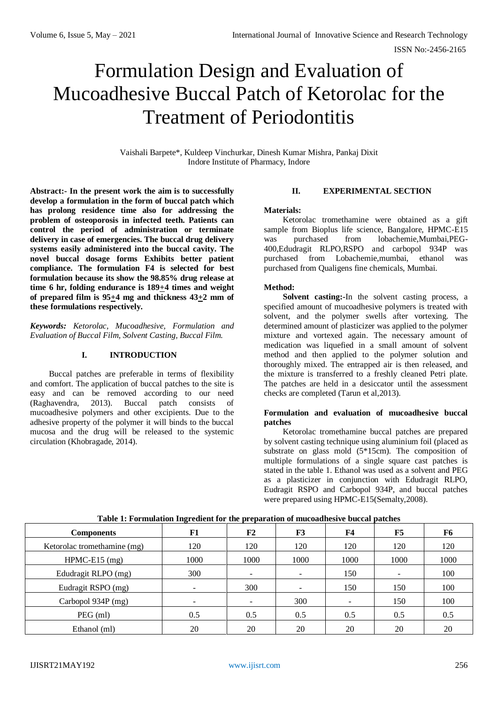# Formulation Design and Evaluation of Mucoadhesive Buccal Patch of Ketorolac for the Treatment of Periodontitis

Vaishali Barpete\*, Kuldeep Vinchurkar, Dinesh Kumar Mishra, Pankaj Dixit Indore Institute of Pharmacy, Indore

**Abstract:- In the present work the aim is to successfully develop a formulation in the form of buccal patch which has prolong residence time also for addressing the problem of osteoporosis in infected teeth. Patients can control the period of administration or terminate delivery in case of emergencies. The buccal drug delivery systems easily administered into the buccal cavity. The novel buccal dosage forms Exhibits better patient compliance. The formulation F4 is selected for best formulation because its show the 98.85% drug release at time 6 hr, folding endurance is 189+4 times and weight of prepared film is 95+4 mg and thickness 43+2 mm of these formulations respectively.**

*Keywords: Ketorolac, Mucoadhesive, Formulation and Evaluation of Buccal Film, Solvent Casting, Buccal Film.*

# **I. INTRODUCTION**

Buccal patches are preferable in terms of flexibility and comfort. The application of buccal patches to the site is easy and can be removed according to our need (Raghavendra, 2013). Buccal patch consists of mucoadhesive polymers and other excipients. Due to the adhesive property of the polymer it will binds to the buccal mucosa and the drug will be released to the systemic circulation (Khobragade, 2014).

# **II. EXPERIMENTAL SECTION**

## **Materials:**

Ketorolac tromethamine were obtained as a gift sample from Bioplus life science, Bangalore, HPMC-E15 was purchased from lobachemie,Mumbai,PEG-400,Edudragit RLPO,RSPO and carbopol 934P was purchased from Lobachemie,mumbai, ethanol was purchased from Qualigens fine chemicals, Mumbai.

# **Method:**

**Solvent casting:-**In the solvent casting process, a specified amount of mucoadhesive polymers is treated with solvent, and the polymer swells after vortexing. The determined amount of plasticizer was applied to the polymer mixture and vortexed again. The necessary amount of medication was liquefied in a small amount of solvent method and then applied to the polymer solution and thoroughly mixed. The entrapped air is then released, and the mixture is transferred to a freshly cleaned Petri plate. The patches are held in a desiccator until the assessment checks are completed (Tarun et al,2013).

# **Formulation and evaluation of mucoadhesive buccal patches**

Ketorolac tromethamine buccal patches are prepared by solvent casting technique using aluminium foil (placed as substrate on glass mold (5\*15cm). The composition of multiple formulations of a single square cast patches is stated in the table 1. Ethanol was used as a solvent and PEG as a plasticizer in conjunction with Edudragit RLPO, Eudragit RSPO and Carbopol 934P, and buccal patches were prepared using HPMC-E15(Semalty,2008).

| <b>Components</b>           | F1   | F2   | F3   | F <sub>4</sub> | F5                       | F <sub>6</sub> |
|-----------------------------|------|------|------|----------------|--------------------------|----------------|
| Ketorolac tromethamine (mg) | 120  | 120  | 120  | 120            | 120                      | 120            |
| $HPMC-E15$ (mg)             | 1000 | 1000 | 1000 | 1000           | 1000                     | 1000           |
| Edudragit RLPO (mg)         | 300  |      |      | 150            | $\overline{\phantom{a}}$ | 100            |
| Eudragit RSPO (mg)          |      | 300  |      | 150            | 150                      | 100            |
| Carbopol 934P (mg)          |      |      | 300  | -              | 150                      | 100            |
| PEG (ml)                    | 0.5  | 0.5  | 0.5  | 0.5            | 0.5                      | 0.5            |
| Ethanol (ml)                | 20   | 20   | 20   | 20             | 20                       | 20             |

# **Table 1: Formulation Ingredient for the preparation of mucoadhesive buccal patches**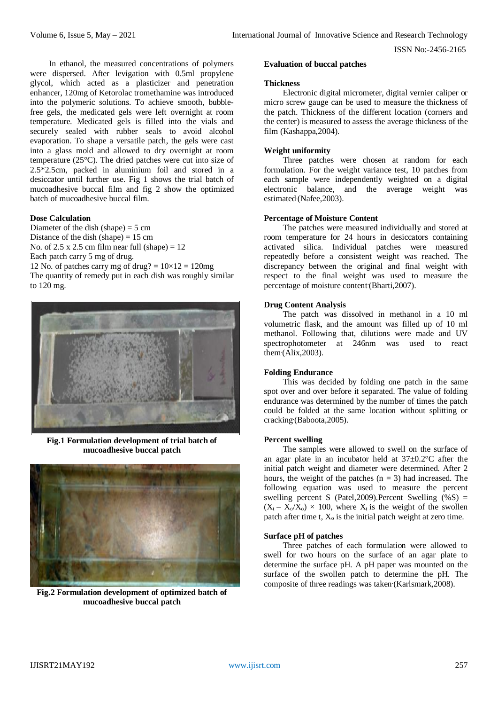In ethanol, the measured concentrations of polymers were dispersed. After levigation with 0.5ml propylene glycol, which acted as a plasticizer and penetration enhancer, 120mg of Ketorolac tromethamine was introduced into the polymeric solutions. To achieve smooth, bubblefree gels, the medicated gels were left overnight at room temperature. Medicated gels is filled into the vials and securely sealed with rubber seals to avoid alcohol evaporation. To shape a versatile patch, the gels were cast into a glass mold and allowed to dry overnight at room temperature (25°C). The dried patches were cut into size of 2.5\*2.5cm, packed in aluminium foil and stored in a desiccator until further use. Fig 1 shows the trial batch of mucoadhesive buccal film and fig 2 show the optimized batch of mucoadhesive buccal film.

## **Dose Calculation**

Diameter of the dish (shape) =  $5 \text{ cm}$ Distance of the dish (shape)  $= 15$  cm No. of  $2.5 \times 2.5$  cm film near full (shape) = 12 Each patch carry 5 mg of drug. 12 No. of patches carry mg of drug?  $= 10 \times 12 = 120$ mg

The quantity of remedy put in each dish was roughly similar to 120 mg.



**Fig.1 Formulation development of trial batch of mucoadhesive buccal patch**



**Fig.2 Formulation development of optimized batch of mucoadhesive buccal patch**

#### **Evaluation of buccal patches**

#### **Thickness**

Electronic digital micrometer, digital vernier caliper or micro screw gauge can be used to measure the thickness of the patch. Thickness of the different location (corners and the center) is measured to assess the average thickness of the film (Kashappa,2004).

# **Weight uniformity**

Three patches were chosen at random for each formulation. For the weight variance test, 10 patches from each sample were independently weighted on a digital electronic balance, and the average weight was estimated (Nafee, 2003).

#### **Percentage of Moisture Content**

The patches were measured individually and stored at room temperature for 24 hours in desiccators containing activated silica. Individual patches were measured repeatedly before a consistent weight was reached. The discrepancy between the original and final weight with respect to the final weight was used to measure the percentage of moisture content (Bharti, 2007).

#### **Drug Content Analysis**

The patch was dissolved in methanol in a 10 ml volumetric flask, and the amount was filled up of 10 ml methanol. Following that, dilutions were made and UV spectrophotometer at 246nm was used to react  $them (Alix, 2003).$ 

# **Folding Endurance**

This was decided by folding one patch in the same spot over and over before it separated. The value of folding endurance was determined by the number of times the patch could be folded at the same location without splitting or cracking (Baboota, 2005).

#### **Percent swelling**

The samples were allowed to swell on the surface of an agar plate in an incubator held at  $37 \pm 0.2$ °C after the initial patch weight and diameter were determined. After 2 hours, the weight of the patches  $(n = 3)$  had increased. The following equation was used to measure the percent swelling percent S (Patel, 2009). Percent Swelling  $(\%S)$  =  $(X_t - X_0/X_0) \times 100$ , where  $X_t$  is the weight of the swollen patch after time t,  $X_0$  is the initial patch weight at zero time.

# **Surface pH of patches**

Three patches of each formulation were allowed to swell for two hours on the surface of an agar plate to determine the surface pH. A pH paper was mounted on the surface of the swollen patch to determine the pH. The composite of three readings was taken (Karlsmark, 2008).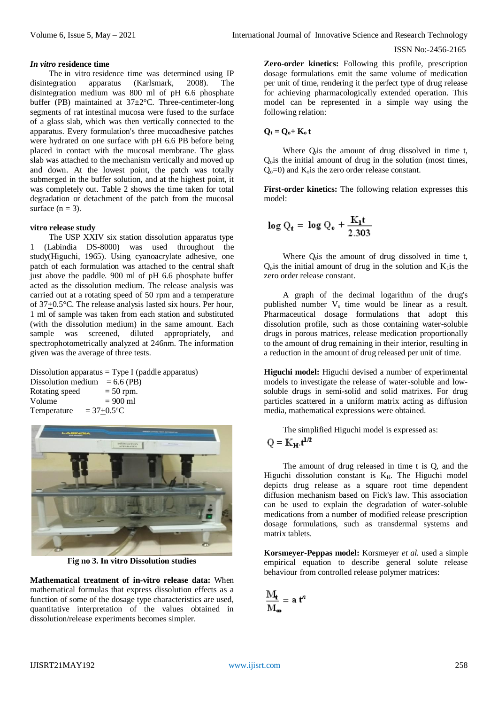#### *In vitro* **residence time**

The in vitro residence time was determined using IP disintegration apparatus (Karlsmark, 2008). The disintegration medium was 800 ml of pH 6.6 phosphate buffer (PB) maintained at 37±2°C. Three-centimeter-long segments of rat intestinal mucosa were fused to the surface of a glass slab, which was then vertically connected to the apparatus. Every formulation's three mucoadhesive patches were hydrated on one surface with pH 6.6 PB before being placed in contact with the mucosal membrane. The glass slab was attached to the mechanism vertically and moved up and down. At the lowest point, the patch was totally submerged in the buffer solution, and at the highest point, it was completely out. Table 2 shows the time taken for total degradation or detachment of the patch from the mucosal surface  $(n = 3)$ .

## **vitro release study**

The USP XXIV six station dissolution apparatus type 1 (Labindia DS-8000) was used throughout the study(Higuchi, 1965). Using cyanoacrylate adhesive, one patch of each formulation was attached to the central shaft just above the paddle. 900 ml of pH 6.6 phosphate buffer acted as the dissolution medium. The release analysis was carried out at a rotating speed of 50 rpm and a temperature of 37+0.5°C. The release analysis lasted six hours. Per hour, 1 ml of sample was taken from each station and substituted (with the dissolution medium) in the same amount. Each sample was screened, diluted appropriately, and spectrophotometrically analyzed at 246nm. The information given was the average of three tests.

Dissolution apparatus  $=$  Type I (paddle apparatus) Dissolution medium =  $6.6$  (PB)<br>Rotating speed =  $50$  rpm. Rotating speed<br>Volume  $= 900 \text{ ml}$ Temperature  $= 37+0.5$ <sup>o</sup>C



**Fig no 3. In vitro Dissolution studies**

**Mathematical treatment of in-vitro release data:** When mathematical formulas that express dissolution effects as a function of some of the dosage type characteristics are used, quantitative interpretation of the values obtained in dissolution/release experiments becomes simpler.

**Zero-order kinetics:** Following this profile, prescription dosage formulations emit the same volume of medication per unit of time, rendering it the perfect type of drug release for achieving pharmacologically extended operation. This model can be represented in a simple way using the following relation:

$$
Q_t = Q_{o^+} K_o t
$$

Where  $Q<sub>i</sub>$  is the amount of drug dissolved in time t, Qois the initial amount of drug in the solution (most times,  $Q_0 = 0$  and  $K_0$  is the zero order release constant.

**First-order kinetics:** The following relation expresses this model:

$$
\log Q_t = \log Q_0 + \frac{K_1 t}{2.303}
$$

Where  $Q<sub>i</sub>$  is the amount of drug dissolved in time t,  $Q<sub>o</sub>$  is the initial amount of drug in the solution and  $K<sub>1</sub>$  is the zero order release constant.

A graph of the decimal logarithm of the drug's published number  $V_s$  time would be linear as a result. Pharmaceutical dosage formulations that adopt this dissolution profile, such as those containing water-soluble drugs in porous matrices, release medication proportionally to the amount of drug remaining in their interior, resulting in a reduction in the amount of drug released per unit of time.

**Higuchi model:** Higuchi devised a number of experimental models to investigate the release of water-soluble and lowsoluble drugs in semi-solid and solid matrixes. For drug particles scattered in a uniform matrix acting as diffusion media, mathematical expressions were obtained.

The simplified Higuchi model is expressed as:

$$
Q = K_{\mathbf{H}} \cdot \mathbf{t}^{1/2}
$$

The amount of drug released in time t is Q, and the Higuchi dissolution constant is  $K_H$ . The Higuchi model depicts drug release as a square root time dependent diffusion mechanism based on Fick's law. This association can be used to explain the degradation of water-soluble medications from a number of modified release prescription dosage formulations, such as transdermal systems and matrix tablets.

**Korsmeyer-Peppas model:** Korsmeyer *et al.* used a simple empirical equation to describe general solute release behaviour from controlled release polymer matrices:

$$
\frac{\mathbf{M}_{t}}{\mathbf{M}_{\infty}} = \mathbf{a} \, t^{n}
$$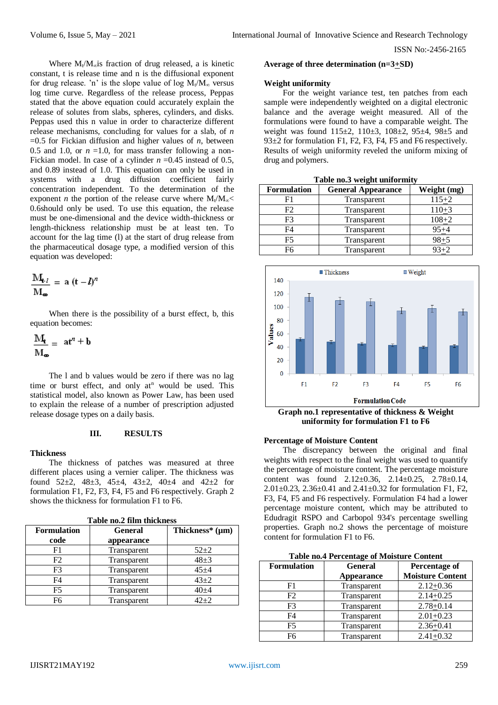Where  $M_t/M_\infty$  is fraction of drug released, a is kinetic constant, t is release time and n is the diffusional exponent for drug release. 'n' is the slope value of log  $M_t/M_\infty$  versus log time curve. Regardless of the release process, Peppas stated that the above equation could accurately explain the release of solutes from slabs, spheres, cylinders, and disks. Peppas used this n value in order to characterize different release mechanisms, concluding for values for a slab, of *n*   $=0.5$  for Fickian diffusion and higher values of *n*, between 0.5 and 1.0, or  $n = 1.0$ , for mass transfer following a non-Fickian model. In case of a cylinder  $n = 0.45$  instead of 0.5, and 0.89 instead of 1.0. This equation can only be used in systems with a drug diffusion coefficient fairly concentration independent. To the determination of the exponent *n* the portion of the release curve where  $M_1/M_{\infty}$ 0.6should only be used. To use this equation, the release must be one-dimensional and the device width-thickness or length-thickness relationship must be at least ten. To account for the lag time (l) at the start of drug release from the pharmaceutical dosage type, a modified version of this equation was developed:

$$
\frac{M_{t\cdot l}}{M_{\infty}} = a(t-l)^n
$$

When there is the possibility of a burst effect, b, this equation becomes:

$$
\frac{M_t}{M_{\infty}} = at^n + b
$$

The l and b values would be zero if there was no lag time or burst effect, and only at<sup>n</sup> would be used. This statistical model, also known as Power Law, has been used to explain the release of a number of prescription adjusted release dosage types on a daily basis.

# **III. RESULTS**

#### **Thickness**

The thickness of patches was measured at three different places using a vernier caliper. The thickness was found  $52\pm2$ ,  $48\pm3$ ,  $45\pm4$ ,  $43\pm2$ ,  $40\pm4$  and  $42\pm2$  for formulation F1, F2, F3, F4, F5 and F6 respectively. Graph 2 shows the thickness for formulation F1 to F6.

| таріе по.2 піш піскнеѕѕ |                |                      |  |  |
|-------------------------|----------------|----------------------|--|--|
| <b>Formulation</b>      | <b>General</b> | Thickness* $(\mu m)$ |  |  |
| code                    | appearance     |                      |  |  |
| F1                      | Transparent    | $52+2$               |  |  |
| F <sub>2</sub>          | Transparent    | $48+3$               |  |  |
| F3                      | Transparent    | $45 + 4$             |  |  |
| F4                      | Transparent    | $43 + 2$             |  |  |
| F5                      | Transparent    | $40 + 4$             |  |  |
| F6                      | Transparent    | $42 + 2$             |  |  |
|                         |                |                      |  |  |

**Table no.2 film thickness**

#### **Average of three determination (n=3+SD)**

#### **Weight uniformity**

For the weight variance test, ten patches from each sample were independently weighted on a digital electronic balance and the average weight measured. All of the formulations were found to have a comparable weight. The weight was found 115±2, 110±3, 108±2, 95±4, 98±5 and 93±2 for formulation F1, F2, F3, F4, F5 and F6 respectively. Results of weigh uniformity reveled the uniform mixing of drug and polymers.

| <b>Formulation</b> | <b>General Appearance</b> | Weight (mg) |
|--------------------|---------------------------|-------------|
|                    | Transparent               | $115 + 2$   |
| F2                 | Transparent               | $110+3$     |
| F3                 | Transparent               | 108+2       |
| F4                 | Transparent               | $95 + 4$    |
| F5                 | Transparent               | $98 + 5$    |
| F6                 | Transparent               | $93 + 2$    |

**Table no.3 weight uniformity**

■Thickness  $\blacksquare$  Weight 140 120  $100$ 80 Values 60  $40$ 20  $\Omega$  $F<sub>1</sub>$  $F<sub>2</sub>$ E3 EЛ F<sub>5</sub> F<sub>6</sub> **Formulation Code** 

**Graph no.1 representative of thickness & Weight uniformity for formulation F1 to F6**

#### **Percentage of Moisture Content**

The discrepancy between the original and final weights with respect to the final weight was used to quantify the percentage of moisture content. The percentage moisture content was found 2.12±0.36, 2.14±0.25, 2.78±0.14, 2.01±0.23, 2.36±0.41 and 2.41±0.32 for formulation F1, F2, F3, F4, F5 and F6 respectively. Formulation F4 had a lower percentage moisture content, which may be attributed to Edudragit RSPO and Carbopol 934's percentage swelling properties. Graph no.2 shows the percentage of moisture content for formulation F1 to F6.

| <b>Formulation</b> | <b>General</b>    | <b>Percentage of</b>    |
|--------------------|-------------------|-------------------------|
|                    | <b>Appearance</b> | <b>Moisture Content</b> |
| F1                 | Transparent       | $2.12 + 0.36$           |
| F2                 | Transparent       | $2.14 + 0.25$           |
| F <sub>3</sub>     | Transparent       | $2.78 + 0.14$           |
| F4                 | Transparent       | $2.01 + 0.23$           |
| F <sub>5</sub>     | Transparent       | $2.36 + 0.41$           |
| F6                 | Transparent       | $2.41 + 0.32$           |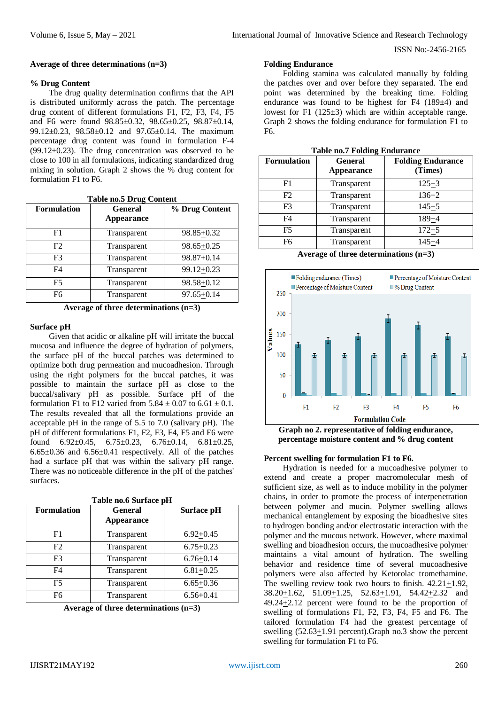## **Average of three determinations (n=3)**

## **% Drug Content**

The drug quality determination confirms that the API is distributed uniformly across the patch. The percentage drug content of different formulations F1, F2, F3, F4, F5 and F6 were found 98.85±0.32, 98.65±0.25, 98.87±0.14, 99.12±0.23, 98.58±0.12 and 97.65±0.14. The maximum percentage drug content was found in formulation F-4  $(99.12\pm0.23)$ . The drug concentration was observed to be close to 100 in all formulations, indicating standardized drug mixing in solution. Graph 2 shows the % drug content for formulation F1 to F6.

| <b>Formulation</b> | <b>General</b><br><b>Appearance</b> | % Drug Content |
|--------------------|-------------------------------------|----------------|
| F1                 | Transparent                         | 98.85+0.32     |
| F2                 | Transparent                         | $98.65 + 0.25$ |
| F3                 | Transparent                         | 98.87+0.14     |
| F4                 | Transparent                         | 99.12+0.23     |
| F5                 | Transparent                         | 98.58+0.12     |
| F6                 | Transparent                         | $97.65 + 0.14$ |

**Table no.5 Drug Content**

|  |  | Average of three determinations $(n=3)$ |  |
|--|--|-----------------------------------------|--|
|--|--|-----------------------------------------|--|

## **Surface pH**

Given that acidic or alkaline pH will irritate the buccal mucosa and influence the degree of hydration of polymers, the surface pH of the buccal patches was determined to optimize both drug permeation and mucoadhesion. Through using the right polymers for the buccal patches, it was possible to maintain the surface pH as close to the buccal/salivary pH as possible. Surface pH of the formulation F1 to F12 varied from  $5.84 \pm 0.07$  to  $6.61 \pm 0.1$ . The results revealed that all the formulations provide an acceptable pH in the range of 5.5 to 7.0 (salivary pH). The pH of different formulations F1, F2, F3, F4, F5 and F6 were found  $6.92 \pm 0.45$ ,  $6.75 \pm 0.23$ ,  $6.76 \pm 0.14$ ,  $6.81 \pm 0.25$ ,  $6.65\pm0.36$  and  $6.56\pm0.41$  respectively. All of the patches had a surface pH that was within the salivary pH range. There was no noticeable difference in the pH of the patches' surfaces.

| <b>Formulation</b> | <b>General</b><br><b>Appearance</b> | Surface pH    |
|--------------------|-------------------------------------|---------------|
| F1                 | Transparent                         | $6.92+0.45$   |
| F2                 | Transparent                         | $6.75 + 0.23$ |
| F3                 | Transparent                         | $6.76 + 0.14$ |
| F4                 | Transparent                         | $6.81 + 0.25$ |
| F5                 | Transparent                         | $6.65 + 0.36$ |
| F6                 | Transparent                         | $6.56 + 0.41$ |

| Average of three determinations $(n=3)$ |  |  |
|-----------------------------------------|--|--|
|-----------------------------------------|--|--|

#### **Folding Endurance**

Folding stamina was calculated manually by folding the patches over and over before they separated. The end point was determined by the breaking time. Folding endurance was found to be highest for F4 (189±4) and lowest for F1 (125±3) which are within acceptable range. Graph 2 shows the folding endurance for formulation F1 to F6.

| <b>Formulation</b> | <b>General</b><br>Appearance | <b>Folding Endurance</b><br>(Times) |
|--------------------|------------------------------|-------------------------------------|
| F1                 | Transparent                  | $125 + 3$                           |
| F2                 | Transparent                  | $136 + 2$                           |
| F3                 | Transparent                  | $145 + 5$                           |
| F4                 | Transparent                  | $189 + 4$                           |
| F5                 | Transparent                  | $172 + 5$                           |
| F6                 | Transparent                  | $145 + 4$                           |

**Table no.7 Folding Endurance**

**Average of three determinations (n=3)**



**Graph no 2. representative of folding endurance, percentage moisture content and % drug content**

#### **Percent swelling for formulation F1 to F6.**

Hydration is needed for a mucoadhesive polymer to extend and create a proper macromolecular mesh of sufficient size, as well as to induce mobility in the polymer chains, in order to promote the process of interpenetration between polymer and mucin. Polymer swelling allows mechanical entanglement by exposing the bioadhesive sites to hydrogen bonding and/or electrostatic interaction with the polymer and the mucous network. However, where maximal swelling and bioadhesion occurs, the mucoadhesive polymer maintains a vital amount of hydration. The swelling behavior and residence time of several mucoadhesive polymers were also affected by Ketorolac tromethamine. The swelling review took two hours to finish. 42.21+1.92,  $38.20 \pm 1.62$ ,  $51.09 \pm 1.25$ ,  $52.63 \pm 1.91$ ,  $54.42 \pm 2.32$  and  $49.24 \pm 2.12$  percent were found to be the proportion of swelling of formulations F1, F2, F3, F4, F5 and F6. The tailored formulation F4 had the greatest percentage of swelling (52.63+1.91 percent).Graph no.3 show the percent swelling for formulation F1 to F6.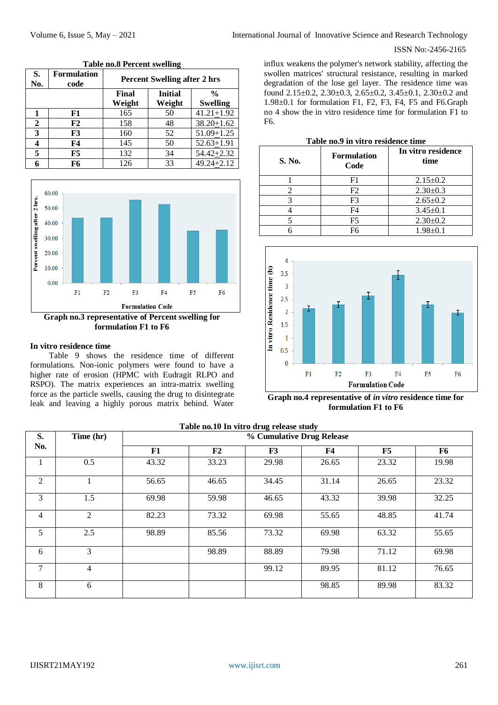| S.<br>No.    | <b>Formulation</b><br>code | <b>Percent Swelling after 2 hrs</b> |                          |                                  |
|--------------|----------------------------|-------------------------------------|--------------------------|----------------------------------|
|              |                            | Final<br>Weight                     | <b>Initial</b><br>Weight | $\frac{0}{0}$<br><b>Swelling</b> |
|              | F1                         | 165                                 | 50                       | $41.21 + 1.92$                   |
| $\mathbf{2}$ | F2                         | 158                                 | 48                       | $38.20 + 1.62$                   |
| 3            | F <sub>3</sub>             | 160                                 | 52                       | $51.09 \pm 1.25$                 |
| 4            | F4                         | 145                                 | 50                       | $52.63 + 1.91$                   |
| 5            | F5                         | 132                                 | 34                       | $54.42 + 2.32$                   |
| 6            | F6                         | 126                                 | 33                       | $49.24 + 2.12$                   |





#### **In vitro residence time**

Table 9 shows the residence time of different formulations. Non-ionic polymers were found to have a higher rate of erosion (HPMC with Eudragit RLPO and RSPO). The matrix experiences an intra-matrix swelling force as the particle swells, causing the drug to disintegrate leak and leaving a highly porous matrix behind. Water

influx weakens the polymer's network stability, affecting the swollen matrices' structural resistance, resulting in marked degradation of the lose gel layer. The residence time was found 2.15±0.2, 2.30±0.3, 2.65±0.2, 3.45±0.1, 2.30±0.2 and 1.98±0.1 for formulation F1, F2, F3, F4, F5 and F6.Graph no 4 show the in vitro residence time for formulation F1 to F6.

| S. No. | <b>Formulation</b><br>Code | In vitro residence<br>time |  |
|--------|----------------------------|----------------------------|--|
|        | F1                         | $2.15 \pm 0.2$             |  |
|        | F2                         | $2.30 \pm 0.3$             |  |
|        | F3                         | $2.65 \pm 0.2$             |  |
|        | F4                         | $3.45 \pm 0.1$             |  |
|        | F5                         | $2.30 \pm 0.2$             |  |
|        | F6                         | $1.98 + 0.1$               |  |



**Graph no.4 representative of** *in vitro* **residence time for formulation F1 to F6**

| Table no.10 In vitro drug release study |                |                           |       |       |            |       |       |  |
|-----------------------------------------|----------------|---------------------------|-------|-------|------------|-------|-------|--|
| S.                                      | Time (hr)      | % Cumulative Drug Release |       |       |            |       |       |  |
| No.                                     |                | F1                        | F2    | F3    | ${\bf F4}$ | F5    | F6    |  |
|                                         | 0.5            | 43.32                     | 33.23 | 29.98 | 26.65      | 23.32 | 19.98 |  |
| 2                                       |                | 56.65                     | 46.65 | 34.45 | 31.14      | 26.65 | 23.32 |  |
| 3                                       | 1.5            | 69.98                     | 59.98 | 46.65 | 43.32      | 39.98 | 32.25 |  |
| $\overline{4}$                          | $\overline{2}$ | 82.23                     | 73.32 | 69.98 | 55.65      | 48.85 | 41.74 |  |
| 5                                       | 2.5            | 98.89                     | 85.56 | 73.32 | 69.98      | 63.32 | 55.65 |  |
| 6                                       | 3              |                           | 98.89 | 88.89 | 79.98      | 71.12 | 69.98 |  |
| $\overline{7}$                          | 4              |                           |       | 99.12 | 89.95      | 81.12 | 76.65 |  |
| 8                                       | 6              |                           |       |       | 98.85      | 89.98 | 83.32 |  |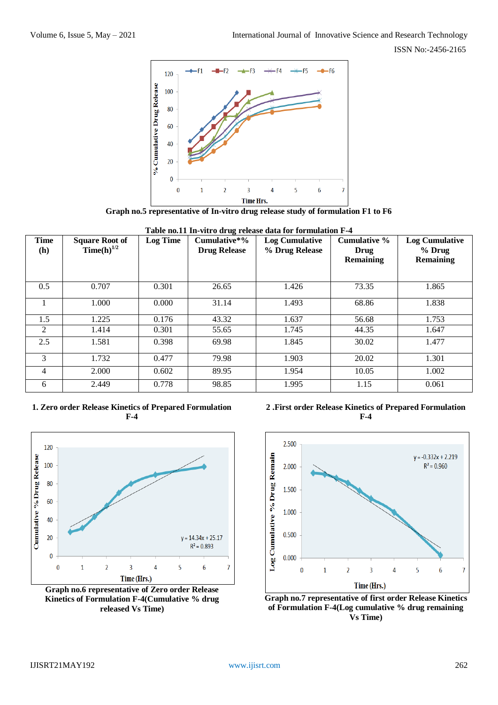

**Graph no.5 representative of In-vitro drug release study of formulation F1 to F6**

| <b>Time</b><br>(h) | <b>Square Root of</b><br>Time(h) $^{1/2}$ | <b>Log Time</b> | Cumulative*%<br><b>Drug Release</b> | <b>Log Cumulative</b><br>% Drug Release | <b>Cumulative %</b><br>Drug<br>Remaining | <b>Log Cumulative</b><br>$%$ Drug<br><b>Remaining</b> |
|--------------------|-------------------------------------------|-----------------|-------------------------------------|-----------------------------------------|------------------------------------------|-------------------------------------------------------|
| 0.5                | 0.707                                     | 0.301           | 26.65                               | 1.426                                   | 73.35                                    | 1.865                                                 |
|                    | 1.000                                     | 0.000           | 31.14                               | 1.493                                   | 68.86                                    | 1.838                                                 |
| 1.5                | 1.225                                     | 0.176           | 43.32                               | 1.637                                   | 56.68                                    | 1.753                                                 |
| 2                  | 1.414                                     | 0.301           | 55.65                               | 1.745                                   | 44.35                                    | 1.647                                                 |
| 2.5                | 1.581                                     | 0.398           | 69.98                               | 1.845                                   | 30.02                                    | 1.477                                                 |
| 3                  | 1.732                                     | 0.477           | 79.98                               | 1.903                                   | 20.02                                    | 1.301                                                 |
| 4                  | 2.000                                     | 0.602           | 89.95                               | 1.954                                   | 10.05                                    | 1.002                                                 |
| 6                  | 2.449                                     | 0.778           | 98.85                               | 1.995                                   | 1.15                                     | 0.061                                                 |

**Table no.11 In-vitro drug release data for formulation F-4**

# **1. Zero order Release Kinetics of Prepared Formulation F-4**



**Graph no.6 representative of Zero order Release Kinetics of Formulation F-4(Cumulative % drug released Vs Time)**

**2 .First order Release Kinetics of Prepared Formulation F-4**



**Graph no.7 representative of first order Release Kinetics of Formulation F-4(Log cumulative % drug remaining Vs Time)**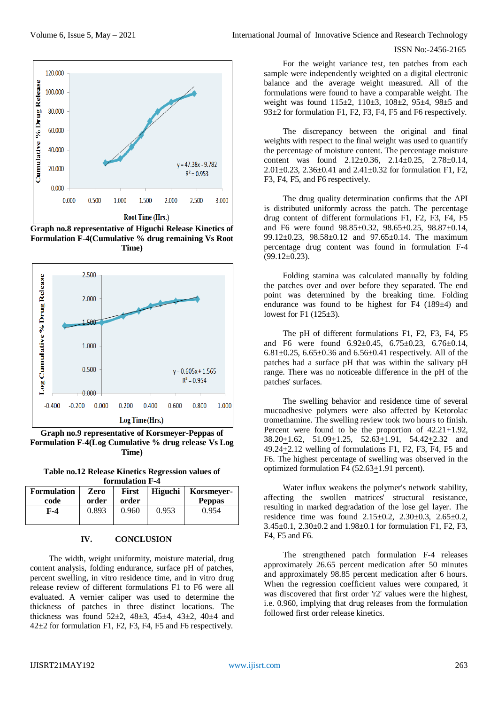

**Graph no.8 representative of Higuchi Release Kinetics of Formulation F-4(Cumulative % drug remaining Vs Root Time)**



**Graph no.9 representative of Korsmeyer-Peppas of Formulation F-4(Log Cumulative % drug release Vs Log Time)**

**Table no.12 Release Kinetics Regression values of formulation F-4**

| <b>Formulation</b> | Zero  | <b>First</b> | Higuchi | Korsmever-    |  |  |
|--------------------|-------|--------------|---------|---------------|--|--|
| code               | order | order        |         | <b>Peppas</b> |  |  |
| F-4                | 0.893 | 0.960        | 0.953   | 0.954         |  |  |
|                    |       |              |         |               |  |  |

#### **IV. CONCLUSION**

The width, weight uniformity, moisture material, drug content analysis, folding endurance, surface pH of patches, percent swelling, in vitro residence time, and in vitro drug release review of different formulations F1 to F6 were all evaluated. A vernier caliper was used to determine the thickness of patches in three distinct locations. The thickness was found  $52\pm 2$ ,  $48\pm 3$ ,  $45\pm 4$ ,  $43\pm 2$ ,  $40\pm 4$  and 42±2 for formulation F1, F2, F3, F4, F5 and F6 respectively.

For the weight variance test, ten patches from each sample were independently weighted on a digital electronic balance and the average weight measured. All of the formulations were found to have a comparable weight. The weight was found 115±2, 110±3, 108±2, 95±4, 98±5 and 93±2 for formulation F1, F2, F3, F4, F5 and F6 respectively.

The discrepancy between the original and final weights with respect to the final weight was used to quantify the percentage of moisture content. The percentage moisture content was found 2.12±0.36, 2.14±0.25, 2.78±0.14, 2.01 $\pm$ 0.23, 2.36 $\pm$ 0.41 and 2.41 $\pm$ 0.32 for formulation F1, F2, F3, F4, F5, and F6 respectively.

The drug quality determination confirms that the API is distributed uniformly across the patch. The percentage drug content of different formulations F1, F2, F3, F4, F5 and F6 were found 98.85±0.32, 98.65±0.25, 98.87±0.14, 99.12±0.23, 98.58±0.12 and 97.65±0.14. The maximum percentage drug content was found in formulation F-4  $(99.12 \pm 0.23)$ .

Folding stamina was calculated manually by folding the patches over and over before they separated. The end point was determined by the breaking time. Folding endurance was found to be highest for F4 (189±4) and lowest for F1  $(125\pm3)$ .

The pH of different formulations F1, F2, F3, F4, F5 and F6 were found 6.92±0.45, 6.75±0.23, 6.76±0.14, 6.81 $\pm$ 0.25, 6.65 $\pm$ 0.36 and 6.56 $\pm$ 0.41 respectively. All of the patches had a surface pH that was within the salivary pH range. There was no noticeable difference in the pH of the patches' surfaces.

The swelling behavior and residence time of several mucoadhesive polymers were also affected by Ketorolac tromethamine. The swelling review took two hours to finish. Percent were found to be the proportion of 42.21+1.92, 38.20+1.62, 51.09+1.25, 52.63+1.91, 54.42+2.32 and 49.24+2.12 welling of formulations F1, F2, F3, F4, F5 and F6. The highest percentage of swelling was observed in the optimized formulation F4  $(52.63 \pm 1.91)$  percent).

Water influx weakens the polymer's network stability, affecting the swollen matrices' structural resistance, resulting in marked degradation of the lose gel layer. The residence time was found  $2.15 \pm 0.2$ ,  $2.30 \pm 0.3$ ,  $2.65 \pm 0.2$ , 3.45±0.1, 2.30±0.2 and 1.98±0.1 for formulation F1, F2, F3, F4, F5 and F6.

The strengthened patch formulation F-4 releases approximately 26.65 percent medication after 50 minutes and approximately 98.85 percent medication after 6 hours. When the regression coefficient values were compared, it was discovered that first order 'r2' values were the highest, i.e. 0.960, implying that drug releases from the formulation followed first order release kinetics.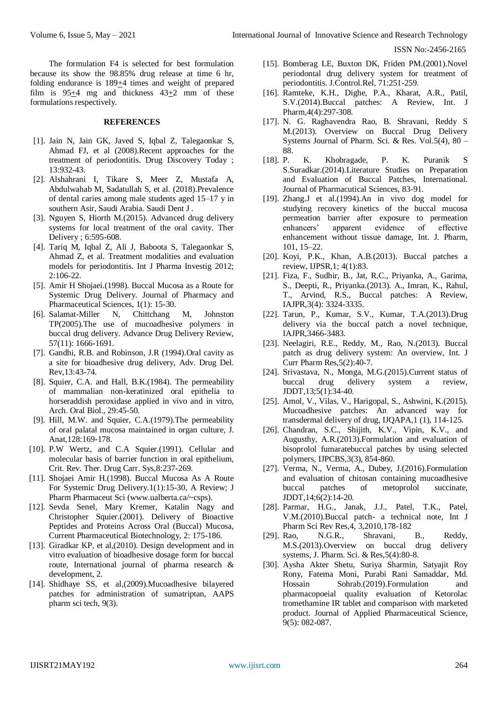The formulation F4 is selected for best formulation because its show the 98.85% drug release at time 6 hr, folding endurance is  $189+4$  times and weight of prepared film is 95+4 mg and thickness 43+2 mm of these formulations respectively.

#### **REFERENCES**

- [1]. Jain N, Jain GK, Javed S, Iqbal Z, Talegaonkar S, Ahmad FJ, et al (2008).Recent approaches for the treatment of periodontitis. Drug Discovery Today ; 13:932-43.
- [2]. Alshahrani I, Tikare S, Meer Z, Mustafa A, Abdulwahab M, Sadatullah S, et al. (2018).Prevalence of dental caries among male students aged 15–17 y in southern Asir, Saudi Arabia. Saudi Dent J .
- [3]. Nguyen S, Hiorth M.(2015). Advanced drug delivery systems for local treatment of the oral cavity. Ther Delivery ; 6:595-608.
- [4]. Tariq M, Iqbal Z, Ali J, Baboota S, Talegaonkar S, Ahmad Z, et al. Treatment modalities and evaluation models for periodontitis. Int J Pharma Investig 2012; 2:106-22.
- [5]. Amir H Shojaei.(1998). Buccal Mucosa as a Route for Systemic Drug Delivery. Journal of Pharmacy and Pharmaceutical Sciences, 1(1): 15-30.
- [6]. Salamat-Miller N, Chittchang M, Johnston TP(2005).The use of mucoadhesive polymers in buccal drug delivery. Advance Drug Delivery Review, 57(11): 1666-1691.
- [7]. Gandhi, R.B. and Robinson, J.R (1994).Oral cavity as a site for bioadhesive drug delivery, Adv. Drug Del. Rev,13:43-74.
- [8]. Squier, C.A. and Hall, B.K.(1984). The permeability of mammalian non-keratinized oral epithelia to horseraddish peroxidase applied in vivo and in vitro, Arch. Oral Biol., 29:45-50.
- [9]. Hill, M.W. and Squier, C.A.(1979).The permeability of oral palatal mucosa maintained in organ culture, J. Anat,128:169-178.
- [10]. P.W Wertz, and C.A Squier.(1991). Cellular and molecular basis of barrier function in oral epithelium, Crit. Rev. Ther. Drug Carr. Sys,8:237-269.
- [11]. Shojaei Amir H.(1998). Buccal Mucosa As A Route For Systemic Drug Delivery.1(1):15-30, A Review; J Pharm Pharmaceut Sci (www.ualberta.ca/~csps).
- [12]. Sevda Senel, Mary Kremer, Katalin Nagy and Christopher Squier.(2001). Delivery of Bioactive Peptides and Proteins Across Oral (Buccal) Mucosa, Current Pharmaceutical Biotechnology, 2: 175-186.
- [13]. Giradkar KP, et al,(2010). Design development and in vitro evaluation of bioadhesive dosage form for buccal route, International journal of pharma research & development, 2.
- [14]. Shidhaye SS, et al,(2009).Mucoadhesive bilayered patches for administration of sumatriptan, AAPS pharm sci tech, 9(3).
- [15]. Bomberag LE, Buxton DK, Friden PM.(2001).Novel periodontal drug delivery system for treatment of periodontitis. J.Control.Rel, 71:251-259.
- [16]. Ramteke, K.H., Dighe, P.A., Kharat, A.R., Patil, S.V.(2014).Buccal patches: A Review, Int. J Pharm,4(4):297-308.
- [17]. N. G. Raghavendra Rao, B. Shravani, Reddy S M.(2013). Overview on Buccal Drug Delivery Systems Journal of Pharm. Sci. & Res. Vol.5(4), 80 – 88.
- [18]. P. K. Khobragade, P. K. Puranik S S.Suradkar.(2014).Literature Studies on Preparation and Evaluation of Buccal Patches, International. Journal of Pharmacutical Sciences, 83-91.
- [19]. Zhang.J et al.(1994).An in vivo dog model for studying recovery kinetics of the buccal mucosa permeation barrier after exposure to permeation enhancers' apparent evidence of effective enhancement without tissue damage, Int. J. Pharm, 101, 15–22.
- [20]. Koyi, P.K., Khan, A.B.(2013). Buccal patches a review, IJPSR,1; 4(1):83.
- [21]. Fiza, F., Sudhir, B., Jat, R.C., Priyanka, A., Garima, S., Deepti, R., Priyanka.(2013). A., Imran, K., Rahul, T., Arvind, R.S., Buccal patches: A Review, IAJPR,3(4): 3324-3335.
- [22]. Tarun, P., Kumar, S.V., Kumar, T.A.(2013).Drug delivery via the buccal patch a novel technique, IAJPR,3466-3483.
- [23]. Neelagiri, R.E., Reddy, M., Rao, N.(2013). Buccal patch as drug delivery system: An overview, Int. J Curr Pharm Res,5(2):40-7.
- [24]. Srivastava, N., Monga, M.G.(2015).Current status of buccal drug delivery system a review, JDDT,13;5(1):34-40.
- [25]. Amol, V., Vilas, V., Harigopal, S., Ashwini, K.(2015). Mucoadhesive patches: An advanced way for transdermal delivery of drug, IJQAPA,1 (1), 114-125.
- [26]. Chandran, S.C., Shijith, K.V., Vipin, K.V., and Augusthy, A.R.(2013).Formulation and evaluation of bisoprolol fumaratebuccal patches by using selected polymers, IJPCBS,3(3), 854-860.
- [27]. Verma, N., Verma, A., Dubey, J.(2016).Formulation and evaluation of chitosan containing mucoadhesive buccal patches of metoprolol succinate, JDDT,14;6(2):14-20.
- [28]. Parmar, H.G., Janak, J.J., Patel, T.K., Patel, V.M.(2010).Buccal patch- a technical note, Int J Pharm Sci Rev Res,4, 3,2010,178-182
- [29]. Rao, N.G.R., Shravani, B., Reddy, M.S.(2013).Overview on buccal drug delivery systems, J. Pharm. Sci. & Res,5(4):80-8.
- [30]. Aysha Akter Shetu, Suriya Sharmin, Satyajit Roy Rony, Fatema Moni, Purabi Rani Samaddar, Md. Hossain Sohrab.(2019).Formulation and pharmacopoeial quality evaluation of Ketorolac tromethamine IR tablet and comparison with marketed product. Journal of Applied Pharmaceutical Science, 9(5): 082-087.